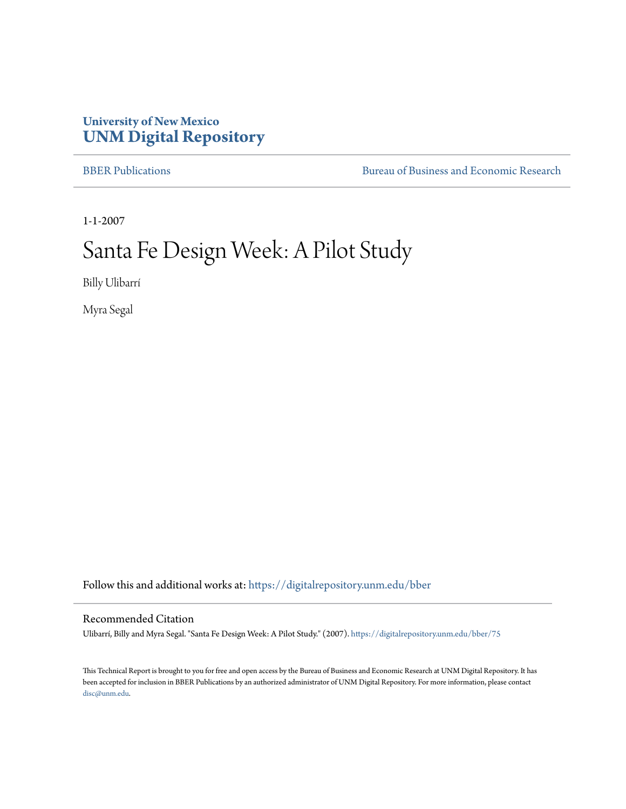## **University of New Mexico [UNM Digital Repository](https://digitalrepository.unm.edu?utm_source=digitalrepository.unm.edu%2Fbber%2F75&utm_medium=PDF&utm_campaign=PDFCoverPages)**

[BBER Publications](https://digitalrepository.unm.edu/bber?utm_source=digitalrepository.unm.edu%2Fbber%2F75&utm_medium=PDF&utm_campaign=PDFCoverPages) **BUREA** [Bureau of Business and Economic Research](https://digitalrepository.unm.edu/business_economic_research?utm_source=digitalrepository.unm.edu%2Fbber%2F75&utm_medium=PDF&utm_campaign=PDFCoverPages)

1-1-2007

# Santa Fe Design Week: A Pilot Study

Billy Ulibarrí

Myra Segal

Follow this and additional works at: [https://digitalrepository.unm.edu/bber](https://digitalrepository.unm.edu/bber?utm_source=digitalrepository.unm.edu%2Fbber%2F75&utm_medium=PDF&utm_campaign=PDFCoverPages)

#### Recommended Citation

Ulibarrí, Billy and Myra Segal. "Santa Fe Design Week: A Pilot Study." (2007). [https://digitalrepository.unm.edu/bber/75](https://digitalrepository.unm.edu/bber/75?utm_source=digitalrepository.unm.edu%2Fbber%2F75&utm_medium=PDF&utm_campaign=PDFCoverPages)

This Technical Report is brought to you for free and open access by the Bureau of Business and Economic Research at UNM Digital Repository. It has been accepted for inclusion in BBER Publications by an authorized administrator of UNM Digital Repository. For more information, please contact [disc@unm.edu](mailto:disc@unm.edu).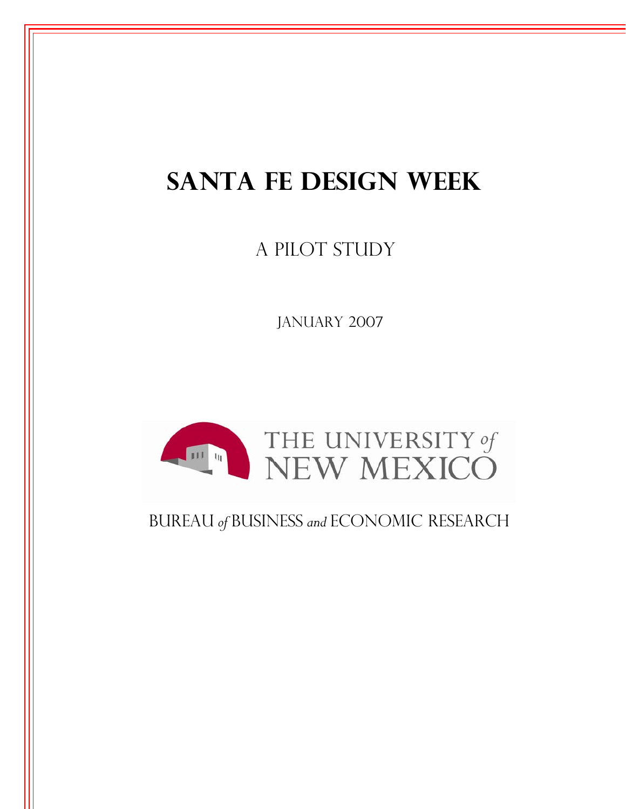# **SANTA FE DESIGN WEEK**

A PILOT STUDY

JANUARY 2007



## Bureau *of* Business *and* Economic Research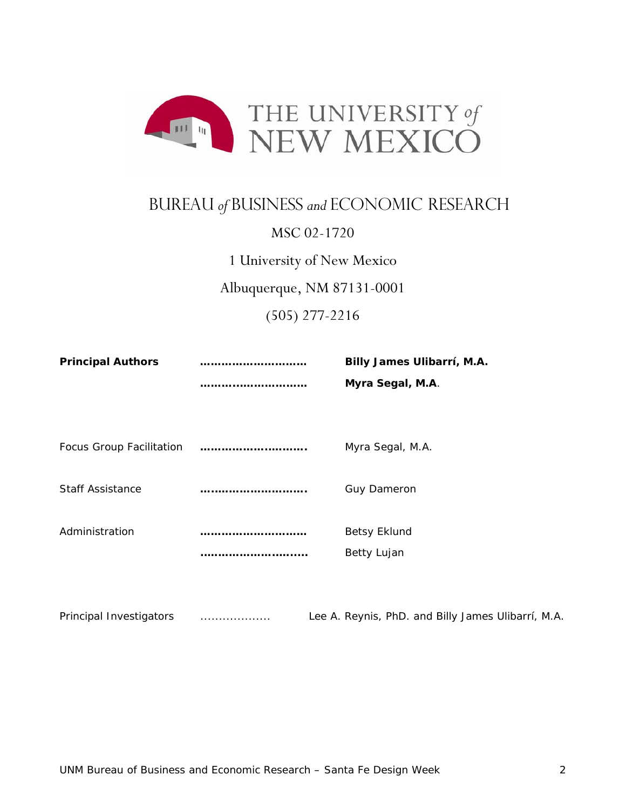

## Bureau *of* Business *and* Economic Research

### MSC 02-1720

1 University of New Mexico

Albuquerque, NM 87131-0001

(505) 277-2216

| <b>Principal Authors</b>        | Billy James Ulibarrí, M.A. |
|---------------------------------|----------------------------|
|                                 | Myra Segal, M.A.           |
|                                 |                            |
|                                 |                            |
| <b>Focus Group Facilitation</b> | Myra Segal, M.A.           |
|                                 |                            |
| <b>Staff Assistance</b>         | <b>Guy Dameron</b>         |
|                                 |                            |
| Administration                  | <b>Betsy Eklund</b>        |
|                                 | Betty Lujan                |
|                                 |                            |
|                                 |                            |

Principal Investigators ................... Lee A. Reynis, PhD. and Billy James Ulibarrí, M.A.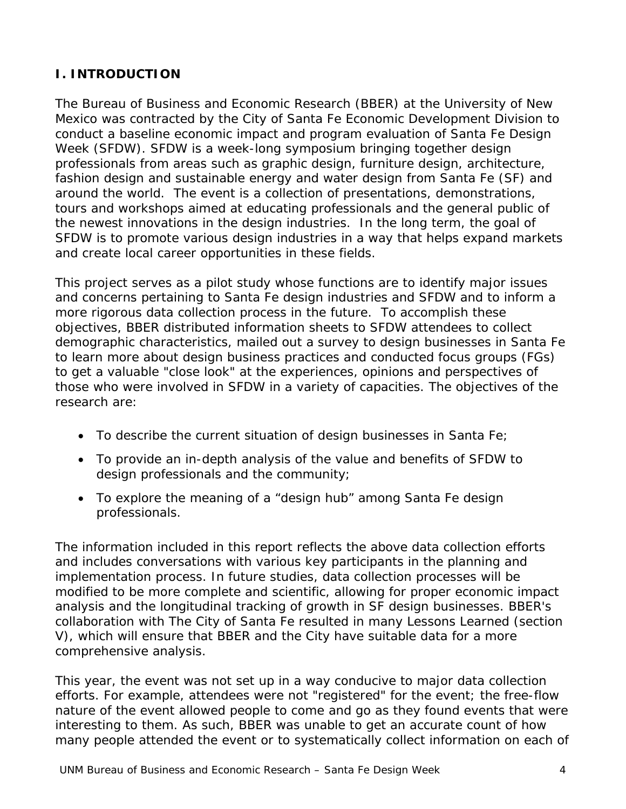### **I. INTRODUCTION**

The Bureau of Business and Economic Research (BBER) at the University of New Mexico was contracted by the City of Santa Fe Economic Development Division to conduct a baseline economic impact and program evaluation of Santa Fe Design Week (SFDW). SFDW is a week-long symposium bringing together design professionals from areas such as graphic design, furniture design, architecture, fashion design and sustainable energy and water design from Santa Fe (SF) and around the world. The event is a collection of presentations, demonstrations, tours and workshops aimed at educating professionals and the general public of the newest innovations in the design industries. In the long term, the goal of SFDW is to promote various design industries in a way that helps expand markets and create local career opportunities in these fields.

This project serves as a pilot study whose functions are to identify major issues and concerns pertaining to Santa Fe design industries and SFDW and to inform a more rigorous data collection process in the future. To accomplish these objectives, BBER distributed information sheets to SFDW attendees to collect demographic characteristics, mailed out a survey to design businesses in Santa Fe to learn more about design business practices and conducted focus groups (FGs) to get a valuable "close look" at the experiences, opinions and perspectives of those who were involved in SFDW in a variety of capacities. The objectives of the research are:

- To describe the current situation of design businesses in Santa Fe;
- To provide an in-depth analysis of the value and benefits of SFDW to design professionals and the community;
- To explore the meaning of a "design hub" among Santa Fe design professionals.

The information included in this report reflects the above data collection efforts and includes conversations with various key participants in the planning and implementation process. In future studies, data collection processes will be modified to be more complete and scientific, allowing for proper economic impact analysis and the longitudinal tracking of growth in SF design businesses. BBER's collaboration with The City of Santa Fe resulted in many Lessons Learned (section V), which will ensure that BBER and the City have suitable data for a more comprehensive analysis.

This year, the event was not set up in a way conducive to major data collection efforts. For example, attendees were not "registered" for the event; the free-flow nature of the event allowed people to come and go as they found events that were interesting to them. As such, BBER was unable to get an accurate count of how many people attended the event or to systematically collect information on each of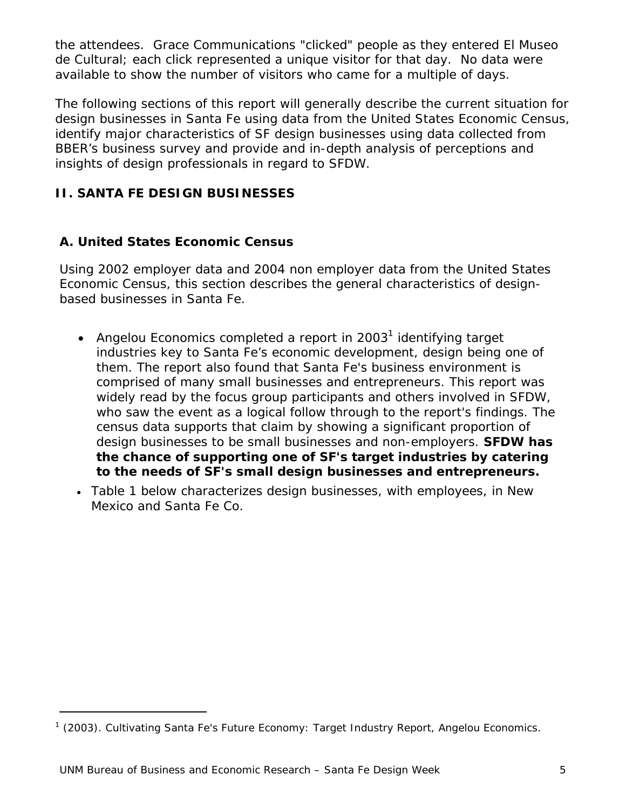the attendees. Grace Communications "clicked" people as they entered El Museo de Cultural; each click represented a unique visitor for that day. No data were available to show the number of visitors who came for a multiple of days.

The following sections of this report will generally describe the current situation for design businesses in Santa Fe using data from the United States Economic Census, identify major characteristics of SF design businesses using data collected from BBER's business survey and provide and in-depth analysis of perceptions and insights of design professionals in regard to SFDW.

#### **II. SANTA FE DESIGN BUSINESSES**

#### *A. United States Economic Census*

Using 2002 employer data and 2004 non employer data from the United States Economic Census, this section describes the general characteristics of designbased businesses in Santa Fe.

- Angelou Economics completed a report in 2003<sup>1</sup> identifying target industries key to Santa Fe's economic development, design being one of them. The report also found that Santa Fe's business environment is comprised of many small businesses and entrepreneurs. This report was widely read by the focus group participants and others involved in SFDW, who saw the event as a logical follow through to the report's findings. The census data supports that claim by showing a significant proportion of design businesses to be small businesses and non-employers. **SFDW has the chance of supporting one of SF's target industries by catering to the needs of SF's small design businesses and entrepreneurs.**
- Table 1 below characterizes design businesses, with employees, in New Mexico and Santa Fe Co.

-

<sup>&</sup>lt;sup>1</sup> (2003). Cultivating Santa Fe's Future Economy: Target Industry Report, Angelou Economics.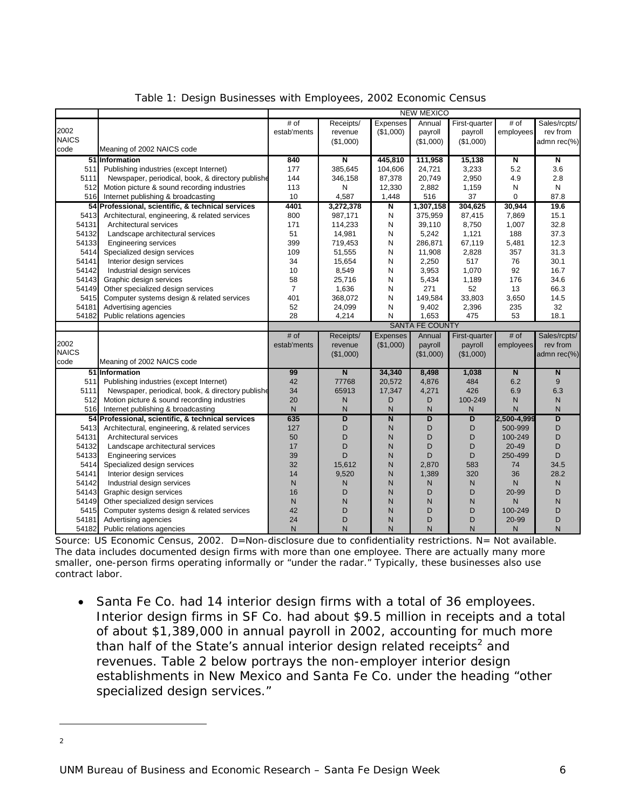|              |                                                   |                |                         |                 | <b>NEW MEXICO</b>      |                |                         |                         |
|--------------|---------------------------------------------------|----------------|-------------------------|-----------------|------------------------|----------------|-------------------------|-------------------------|
|              |                                                   | # of           | Receipts/               | Expenses        | Annual                 | First-quarter  | # of                    | Sales/rcpts/            |
| 2002         |                                                   | estab'ments    | revenue                 | (\$1,000)       | payroll                | payroll        | employees               | rev from                |
| <b>NAICS</b> |                                                   |                | (\$1,000)               |                 | (\$1,000)              | (\$1,000)      |                         | admn rec(%)             |
| code         | Meaning of 2002 NAICS code                        |                |                         |                 |                        |                |                         |                         |
|              | 51 Information                                    | 840            | N                       | 445,810         | 111,958                | 15,138         | N                       | N                       |
| 511          | Publishing industries (except Internet)           | 177            | 385,645                 | 104,606         | 24,721                 | 3,233          | 5.2                     | 3.6                     |
| 5111         | Newspaper, periodical, book, & directory publishe | 144            | 346,158                 | 87,378          | 20,749                 | 2,950          | 4.9                     | 2.8                     |
| 512          | Motion picture & sound recording industries       | 113            | N                       | 12,330          | 2,882                  | 1,159          | N                       | ${\sf N}$               |
| 516          | Internet publishing & broadcasting                | 10             | 4,587                   | 1,448           | 516                    | 37             | $\Omega$                | 87.8                    |
|              | 54 Professional, scientific, & technical services | 4401           | 3,272,378               | N               | 1,307,158              | 304,625        | 30.944                  | 19.6                    |
| 5413         | Architectural, engineering, & related services    | 800            | 987,171                 | N               | 375,959                | 87,415         | 7,869                   | 15.1                    |
| 54131        | Architectural services                            | 171            | 114,233                 | N               | 39,110                 | 8,750          | 1,007                   | 32.8                    |
| 54132        | Landscape architectural services                  | 51             | 14,981                  | N               | 5,242                  | 1,121          | 188                     | 37.3                    |
| 54133        | <b>Engineering services</b>                       | 399            | 719,453                 | N               | 286,871                | 67,119         | 5,481                   | 12.3                    |
| 5414         | Specialized design services                       | 109            | 51,555                  | N               | 11,908                 | 2,828          | 357                     | 31.3                    |
| 54141        | Interior design services                          | 34             | 15,654                  | N               | 2,250                  | 517            | 76                      | 30.1                    |
| 54142        | Industrial design services                        | 10             | 8,549                   | N               | 3,953                  | 1,070          | 92                      | 16.7                    |
| 54143        | Graphic design services                           | 58             | 25,716                  | N               | 5,434                  | 1,189          | 176                     | 34.6                    |
| 54149        | Other specialized design services                 | $\overline{7}$ | 1,636                   | N               | 271                    | 52             | 13                      | 66.3                    |
| 5415         | Computer systems design & related services        | 401            | 368,072                 | N               | 149,584                | 33,803         | 3,650                   | 14.5                    |
| 54181        | Advertising agencies                              | 52             | 24,099                  | N               | 9,402                  | 2,396          | 235                     | 32                      |
| 54182        | Public relations agencies                         | 28             | 4,214                   | N               | 1,653                  | 475            | 53                      | 18.1                    |
|              |                                                   |                |                         |                 | <b>SANTA FE COUNTY</b> |                |                         |                         |
|              |                                                   | # of           | Receipts/               | <b>Expenses</b> | Annual                 | First-quarter  | # of                    | Sales/rcpts/            |
| 2002         |                                                   | estab'ments    | revenue                 | (\$1,000)       | payroll                | payroll        | employees               | rev from                |
| <b>NAICS</b> |                                                   |                | (\$1,000)               |                 | (\$1,000)              | (\$1,000)      |                         | admn rec(%)             |
| code         | Meaning of 2002 NAICS code                        |                |                         |                 |                        |                |                         |                         |
|              | 51 Information                                    | 99             | $\overline{\mathsf{N}}$ | 34,340          | 8,498                  | 1,038          | $\overline{\mathsf{N}}$ | $\overline{\mathsf{N}}$ |
| 511          | Publishing industries (except Internet)           | 42             | 77768                   | 20,572          | 4,876                  | 484            | 6.2                     | 9                       |
| 5111         | Newspaper, periodical, book, & directory publishe | 34             | 65913                   | 17,347          | 4,271                  | 426            | 6.9                     | 6.3                     |
| 512          | Motion picture & sound recording industries       | 20             | ${\sf N}$               | D               | D                      | 100-249        | N                       | $\mathsf{N}$            |
| 516          | Internet publishing & broadcasting                | N              | $\mathsf{N}$            | $\mathsf{N}$    | $\mathsf{N}$           | N              | $\mathsf{N}$            | $\mathsf{N}$            |
|              | 54 Professional, scientific, & technical services | 635            | $\overline{D}$          | $\overline{N}$  | D                      | $\overline{D}$ | 2,500-4,999             | $\overline{D}$          |
| 5413         | Architectural, engineering, & related services    | 127            | D                       | N               | D                      | D              | 500-999                 | D                       |
| 54131        | Architectural services                            | 50             | D                       | N               | D                      | D              | 100-249                 | D                       |
| 54132        | Landscape architectural services                  | 17             | D                       | N               | D                      | D              | $20 - 49$               | D                       |
| 54133        | <b>Engineering services</b>                       | 39             | D                       | N               | D                      | D              | 250-499                 | D                       |
| 5414         | Specialized design services                       | 32             | 15,612                  | N               | 2,870                  | 583            | 74                      | 34.5                    |
| 54141        | Interior design services                          | 14             | 9,520                   | N               | 1,389                  | 320            | 36                      | 28.2                    |
| 54142        | Industrial design services                        | $\mathsf{N}$   | N                       | N               | $\mathsf{N}$           | $\mathsf{N}$   | $\mathsf{N}$            | $\mathsf{N}$            |
| 54143        | Graphic design services                           | 16             | D                       | N               | D                      | D              | 20-99                   | D                       |
| 54149        | Other specialized design services                 | $\mathsf{N}$   | N                       | N               | N                      | N              | N                       | N                       |
| 5415         | Computer systems design & related services        | 42             | D                       | N               | D                      | D              | 100-249                 | D                       |
| 54181        | Advertising agencies                              | 24             | D                       | N               | D                      | D              | 20-99                   | D                       |
| 54182        | Public relations agencies                         | N              | N                       | N               | $\mathsf{N}$           | N              | N                       | N                       |

|  |  | Table 1: Design Businesses with Employees, 2002 Economic Census |  |  |
|--|--|-----------------------------------------------------------------|--|--|
|  |  |                                                                 |  |  |
|  |  |                                                                 |  |  |

Source: US Economic Census, 2002. D=Non-disclosure due to confidentiality restrictions. N= Not available. The data includes documented design firms with more than one employee. There are actually many more smaller, one-person firms operating informally or "under the radar." Typically, these businesses also use contract labor.

• Santa Fe Co. had 14 interior design firms with a total of 36 employees. Interior design firms in SF Co. had about \$9.5 million in receipts and a total of about \$1,389,000 in annual payroll in 2002, accounting for much more than half of the State's annual interior design related receipts<sup>2</sup> and revenues. Table 2 below portrays the non-employer interior design establishments in New Mexico and Santa Fe Co. under the heading "other specialized design services."

-

2

UNM Bureau of Business and Economic Research - Santa Fe Design Week 66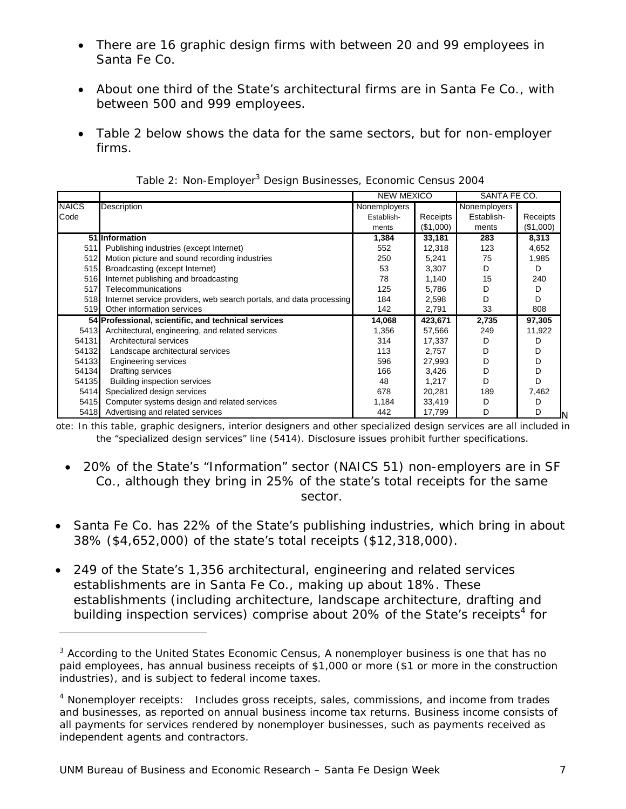- There are 16 graphic design firms with between 20 and 99 employees in Santa Fe Co.
- About one third of the State's architectural firms are in Santa Fe Co., with between 500 and 999 employees.
- Table 2 below shows the data for the same sectors, but for non-employer firms.

|              |                                                                     | <b>NEW MEXICO</b> |           | SANTA FE CO. |           |  |
|--------------|---------------------------------------------------------------------|-------------------|-----------|--------------|-----------|--|
| <b>NAICS</b> | <b>Description</b>                                                  | Nonemployers      |           | Nonemployers |           |  |
| Code         |                                                                     | Establish-        | Receipts  | Establish-   | Receipts  |  |
|              |                                                                     | ments             | (\$1,000) | ments        | (\$1,000) |  |
|              | 51 Information                                                      | 1,384             | 33,181    | 283          | 8,313     |  |
| 511          | Publishing industries (except Internet)                             | 552               | 12,318    | 123          | 4,652     |  |
| 512          | Motion picture and sound recording industries                       | 250               | 5,241     | 75           | 1,985     |  |
| 515          | Broadcasting (except Internet)                                      | 53                | 3,307     | D            | D         |  |
| 516          | Internet publishing and broadcasting                                | 78                | 1,140     | 15           | 240       |  |
| 517          | Telecommunications                                                  | 125               | 5,786     | D            | D         |  |
| 518          | Internet service providers, web search portals, and data processing | 184               | 2,598     | D            | D         |  |
| 519          | Other information services                                          | 142               | 2,791     | 33           | 808       |  |
|              | 54 Professional, scientific, and technical services                 | 14,068            | 423,671   | 2,735        | 97,305    |  |
| 5413         | Architectural, engineering, and related services                    | 1,356             | 57,566    | 249          | 11,922    |  |
| 54131        | Architectural services                                              | 314               | 17,337    | D            | D         |  |
| 54132        | Landscape architectural services                                    | 113               | 2,757     | D            | D         |  |
| 54133        | <b>Engineering services</b>                                         | 596               | 27.993    | D            | D         |  |
| 54134        | Drafting services                                                   | 166               | 3,426     | D            | D         |  |
| 54135        | <b>Building inspection services</b>                                 | 48                | 1.217     | D            | D         |  |
| 5414         | Specialized design services                                         | 678               | 20,281    | 189          | 7,462     |  |
| 5415         | Computer systems design and related services                        | 1,184             | 33,419    | D            | D         |  |
| 5418         | Advertising and related services                                    | 442               | 17,799    | D            | D         |  |

Table 2: Non-Employer<sup>3</sup> Design Businesses, Economic Census 2004

ote: In this table, graphic designers, interior designers and other specialized design services are all included in the "specialized design services" line (5414). Disclosure issues prohibit further specifications.

- 20% of the State's "Information" sector (NAICS 51) non-employers are in SF Co., although they bring in 25% of the state's total receipts for the same sector.
- Santa Fe Co. has 22% of the State's publishing industries, which bring in about 38% (\$4,652,000) of the state's total receipts (\$12,318,000).
- 249 of the State's 1,356 architectural, engineering and related services establishments are in Santa Fe Co., making up about 18%. These establishments (including architecture, landscape architecture, drafting and building inspection services) comprise about 20% of the State's receipts<sup>4</sup> for

-

<sup>&</sup>lt;sup>3</sup> According to the United States Economic Census, A nonemployer business is one that has no paid employees, has annual business receipts of \$1,000 or more (\$1 or more in the construction industries), and is subject to federal income taxes.

<sup>&</sup>lt;sup>4</sup> Nonemployer receipts: Includes gross receipts, sales, commissions, and income from trades and businesses, as reported on annual business income tax returns. Business income consists of all payments for services rendered by nonemployer businesses, such as payments received as independent agents and contractors.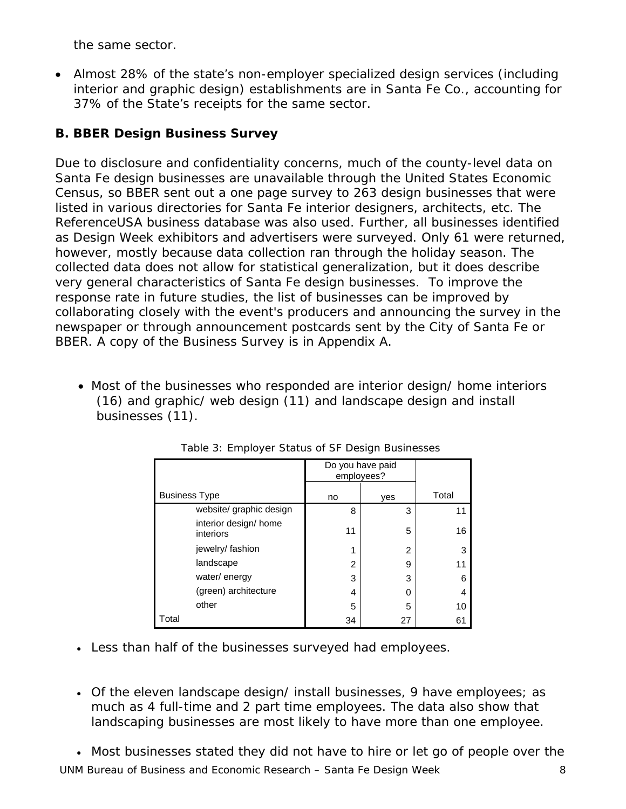the same sector.

• Almost 28% of the state's non-employer specialized design services (including interior and graphic design) establishments are in Santa Fe Co., accounting for 37% of the State's receipts for the same sector.

## *B. BBER Design Business Survey*

Due to disclosure and confidentiality concerns, much of the county-level data on Santa Fe design businesses are unavailable through the United States Economic Census, so BBER sent out a one page survey to 263 design businesses that were listed in various directories for Santa Fe interior designers, architects, etc. The ReferenceUSA business database was also used. Further, all businesses identified as Design Week exhibitors and advertisers were surveyed. Only 61 were returned, however, mostly because data collection ran through the holiday season. The collected data does not allow for statistical generalization, but it does describe very general characteristics of Santa Fe design businesses. To improve the response rate in future studies, the list of businesses can be improved by collaborating closely with the event's producers and announcing the survey in the newspaper or through announcement postcards sent by the City of Santa Fe or BBER. A copy of the Business Survey is in Appendix A.

• Most of the businesses who responded are interior design/ home interiors (16) and graphic/ web design (11) and landscape design and install businesses (11).

|                                    | Do you have paid<br>employees? |     |       |
|------------------------------------|--------------------------------|-----|-------|
| <b>Business Type</b>               | no                             | ves | Total |
| website/ graphic design            | 8                              | 3   | 11    |
| interior design/ home<br>interiors | 11                             | 5   | 16    |
| jewelry/fashion                    | 1                              | 2   | 3     |
| landscape                          | 2                              | 9   | 11    |
| water/energy                       | 3                              | 3   | 6     |
| (green) architecture               | 4                              | 0   | 4     |
| other                              | 5                              | 5   | 10    |
| Total                              | 34                             | 27  | 61    |

Table 3: Employer Status of SF Design Businesses

- Less than half of the businesses surveyed had employees.
- Of the eleven landscape design/ install businesses, 9 have employees; as much as 4 full-time and 2 part time employees. The data also show that landscaping businesses are most likely to have more than one employee.
- UNM Bureau of Business and Economic Research Santa Fe Design Week 8 • Most businesses stated they did not have to hire or let go of people over the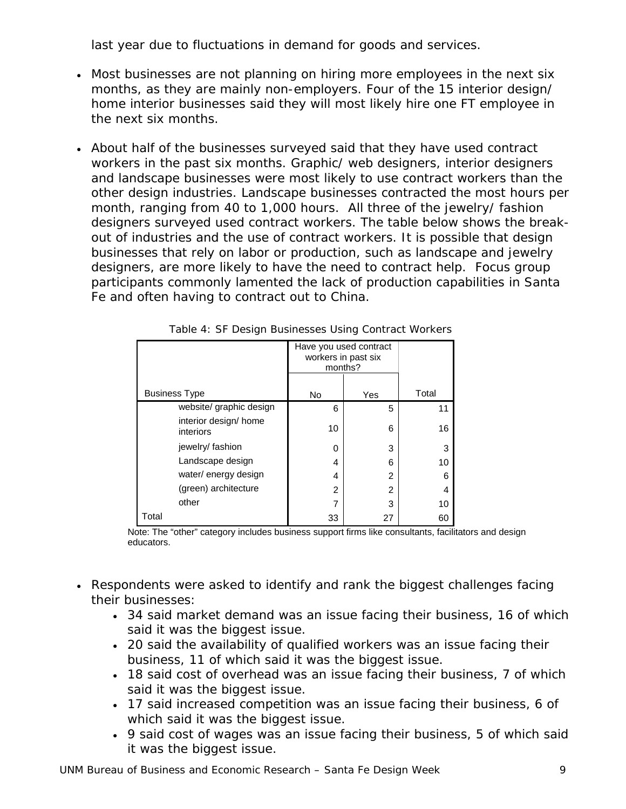last year due to fluctuations in demand for goods and services.

- Most businesses are not planning on hiring more employees in the next six months, as they are mainly non-employers. Four of the 15 interior design/ home interior businesses said they will most likely hire one FT employee in the next six months.
- About half of the businesses surveyed said that they have used contract workers in the past six months. Graphic/ web designers, interior designers and landscape businesses were most likely to use contract workers than the other design industries. Landscape businesses contracted the most hours per month, ranging from 40 to 1,000 hours. All three of the jewelry/ fashion designers surveyed used contract workers. The table below shows the breakout of industries and the use of contract workers. It is possible that design businesses that rely on labor or production, such as landscape and jewelry designers, are more likely to have the need to contract help. Focus group participants commonly lamented the lack of production capabilities in Santa Fe and often having to contract out to China.

|                                    | Have you used contract<br>workers in past six<br>months? |                |       |
|------------------------------------|----------------------------------------------------------|----------------|-------|
| <b>Business Type</b>               | <b>No</b>                                                | Yes            | Total |
| website/ graphic design            | 6                                                        | 5              | 11    |
| interior design/ home<br>interiors | 10                                                       | 6              | 16    |
| jewelry/fashion                    | 0                                                        | 3              | 3     |
| Landscape design                   | 4                                                        | 6              | 10    |
| water/ energy design               | 4                                                        | $\overline{2}$ | 6     |
| (green) architecture               | 2                                                        | $\mathfrak{p}$ | 4     |
| other                              | 7                                                        | 3              | 10    |
| Total                              | 33                                                       | 27             | 60    |

Table 4: SF Design Businesses Using Contract Workers

Note: The "other" category includes business support firms like consultants, facilitators and design educators.

- Respondents were asked to identify and rank the biggest challenges facing their businesses:
	- 34 said market demand was an issue facing their business, 16 of which said it was the biggest issue.
	- 20 said the availability of qualified workers was an issue facing their business, 11 of which said it was the biggest issue.
	- 18 said cost of overhead was an issue facing their business, 7 of which said it was the biggest issue.
	- 17 said increased competition was an issue facing their business, 6 of which said it was the biggest issue.
	- 9 said cost of wages was an issue facing their business, 5 of which said it was the biggest issue.

UNM Bureau of Business and Economic Research – Santa Fe Design Week 9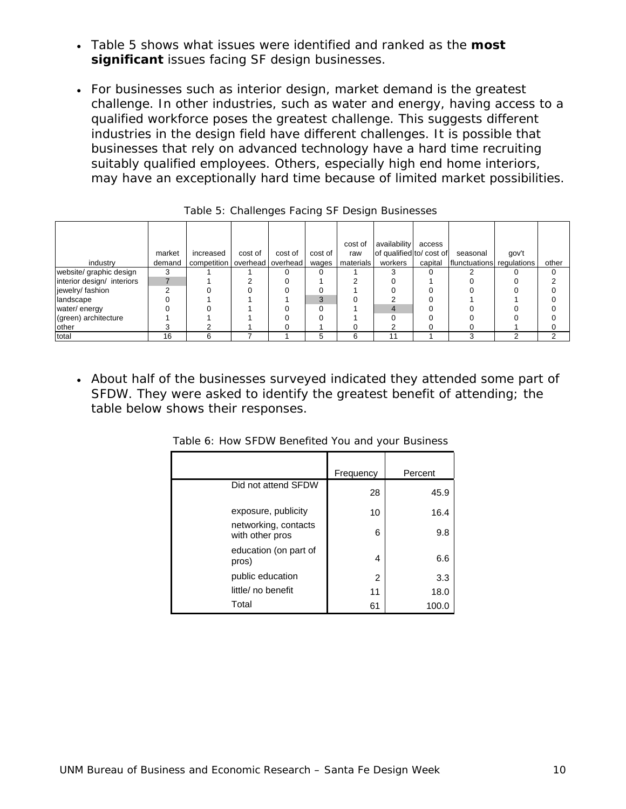- Table 5 shows what issues were identified and ranked as the **most significant** issues facing SF design businesses.
- For businesses such as interior design, market demand is the greatest challenge. In other industries, such as water and energy, having access to a qualified workforce poses the greatest challenge. This suggests different industries in the design field have different challenges. It is possible that businesses that rely on advanced technology have a hard time recruiting suitably qualified employees. Others, especially high end home interiors, may have an exceptionally hard time because of limited market possibilities.

|                            |        |                                   |         |         |         | cost of   | availability             | access  |                           |       |       |
|----------------------------|--------|-----------------------------------|---------|---------|---------|-----------|--------------------------|---------|---------------------------|-------|-------|
|                            | market | increased                         | cost of | cost of | cost of | raw       | of qualified to/ cost of |         | seasonal                  | gov't |       |
| industry                   | demand | competition   overhead   overhead |         |         | wages   | materials | workers                  | capital | flunctuations regulations |       | other |
| website/ graphic design    |        |                                   |         |         |         |           |                          |         |                           |       |       |
| interior design/ interiors |        |                                   |         |         |         |           |                          |         |                           |       |       |
| jewelry/fashion            |        |                                   |         |         |         |           |                          |         |                           |       |       |
| landscape                  |        |                                   |         |         | 3       |           |                          |         |                           |       |       |
| water/energy               |        |                                   |         |         | ∩       |           |                          |         |                           |       |       |
| (green) architecture       |        |                                   |         |         |         |           |                          |         |                           |       |       |
| other                      |        |                                   |         |         |         |           |                          |         |                           |       |       |
| total                      | 16     | 6                                 |         |         | 5       | 6         |                          |         |                           |       |       |

Table 5: Challenges Facing SF Design Businesses

• About half of the businesses surveyed indicated they attended some part of SFDW. They were asked to identify the greatest benefit of attending; the table below shows their responses.

|                                         | Frequency | Percent |
|-----------------------------------------|-----------|---------|
| Did not attend SFDW                     | 28        | 45.9    |
| exposure, publicity                     | 10        | 16.4    |
| networking, contacts<br>with other pros | 6         | 9.8     |
| education (on part of<br>pros)          | 4         | 6.6     |
| public education                        | 2         | 3.3     |
| little/ no benefit                      | 11        | 18.0    |
| Total                                   | 61        | 100.0   |

Table 6: How SFDW Benefited You and your Business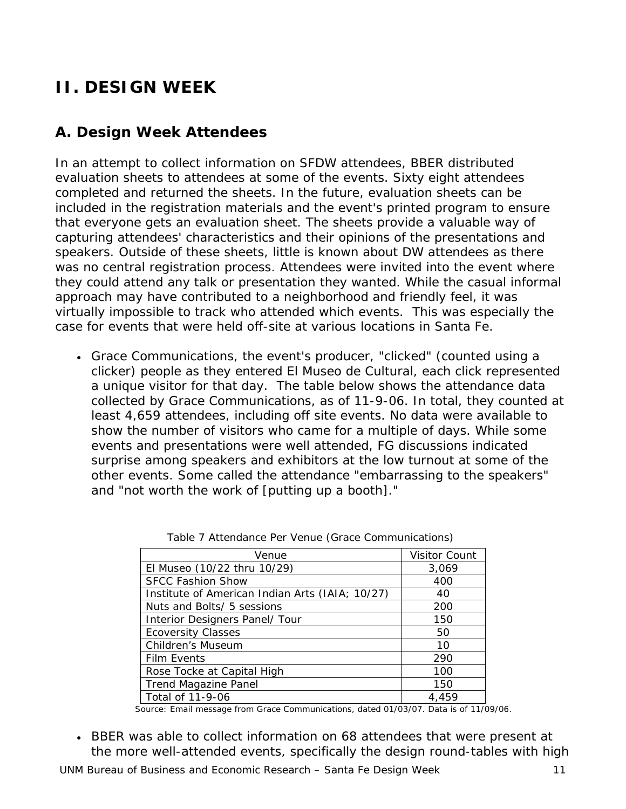## **II. DESIGN WEEK**

## *A. Design Week Attendees*

In an attempt to collect information on SFDW attendees, BBER distributed evaluation sheets to attendees at some of the events. Sixty eight attendees completed and returned the sheets. In the future, evaluation sheets can be included in the registration materials and the event's printed program to ensure that everyone gets an evaluation sheet. The sheets provide a valuable way of capturing attendees' characteristics and their opinions of the presentations and speakers. Outside of these sheets, little is known about DW attendees as there was no central registration process. Attendees were invited into the event where they could attend any talk or presentation they wanted. While the casual informal approach may have contributed to a neighborhood and friendly feel, it was virtually impossible to track who attended which events. This was especially the case for events that were held off-site at various locations in Santa Fe.

• Grace Communications, the event's producer, "clicked" (counted using a clicker) people as they entered El Museo de Cultural, each click represented a unique visitor for that day. The table below shows the attendance data collected by Grace Communications, as of 11-9-06. In total, they counted at least 4,659 attendees, including off site events. No data were available to show the number of visitors who came for a multiple of days. While some events and presentations were well attended, FG discussions indicated surprise among speakers and exhibitors at the low turnout at some of the other events. Some called the attendance *"embarrassing to the speakers"* and *"not worth the work of [putting up a booth]."* 

| Venue                                           | <b>Visitor Count</b> |
|-------------------------------------------------|----------------------|
| El Museo (10/22 thru 10/29)                     | 3,069                |
| <b>SFCC Fashion Show</b>                        | <i>400</i>           |
| Institute of American Indian Arts (IAIA; 10/27) | 40                   |
| Nuts and Bolts/ 5 sessions                      | <i>200</i>           |
| Interior Designers Panel/ Tour                  | <i>150</i>           |
| <b>Ecoversity Classes</b>                       | 50                   |
| Children's Museum                               | 10                   |
| <b>Film Events</b>                              | 290                  |
| Rose Tocke at Capital High                      | <i>100</i>           |
| <b>Trend Magazine Panel</b>                     | <i>150</i>           |
| Total of 11-9-06                                | 4.459                |

Table 7 Attendance Per Venue (Grace Communications)

*Source: Email message from Grace Communications, dated 01/03/07. Data is of 11/09/06.* 

• BBER was able to collect information on 68 attendees that were present at the more well-attended events, specifically the design round-tables with high

UNM Bureau of Business and Economic Research – Santa Fe Design Week 11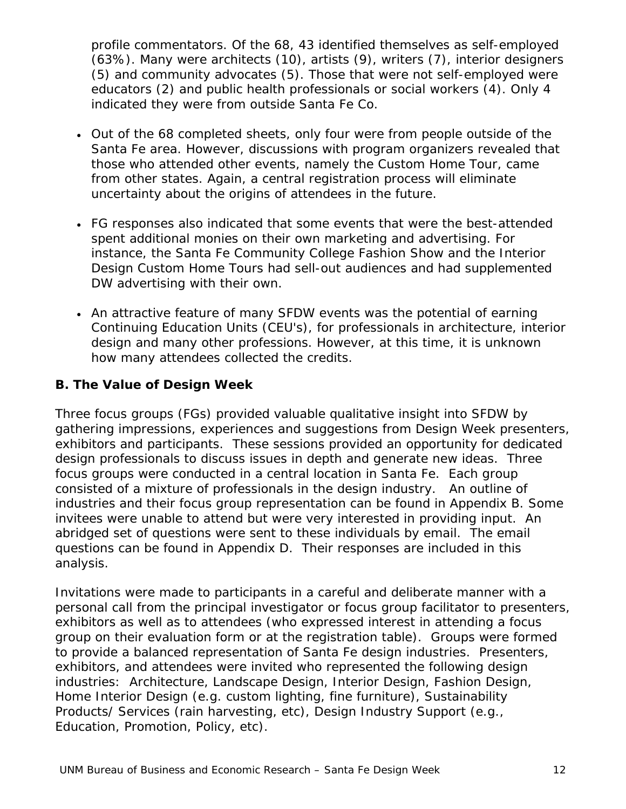profile commentators. Of the 68, 43 identified themselves as self-employed (63%). Many were architects (10), artists (9), writers (7), interior designers (5) and community advocates (5). Those that were not self-employed were educators (2) and public health professionals or social workers (4). Only 4 indicated they were from outside Santa Fe Co.

- Out of the 68 completed sheets, only four were from people outside of the Santa Fe area. However, discussions with program organizers revealed that those who attended other events, namely the Custom Home Tour, came from other states. Again, a central registration process will eliminate uncertainty about the origins of attendees in the future.
- FG responses also indicated that some events that were the best-attended spent additional monies on their own marketing and advertising. For instance, the Santa Fe Community College Fashion Show and the Interior Design Custom Home Tours had sell-out audiences and had supplemented DW advertising with their own.
- An attractive feature of many SFDW events was the potential of earning Continuing Education Units (CEU's), for professionals in architecture, interior design and many other professions. However, at this time, it is unknown how many attendees collected the credits.

#### *B. The Value of Design Week*

Three focus groups (FGs) provided valuable qualitative insight into SFDW by gathering impressions, experiences and suggestions from *Design Week* presenters, exhibitors and participants. These sessions provided an opportunity for dedicated design professionals to discuss issues in depth and generate new ideas. Three focus groups were conducted in a central location in Santa Fe. Each group consisted of a mixture of professionals in the design industry. An outline of industries and their focus group representation can be found in Appendix B. Some invitees were unable to attend but were very interested in providing input. An abridged set of questions were sent to these individuals by email. The email questions can be found in Appendix D. Their responses are included in this analysis.

Invitations were made to participants in a careful and deliberate manner with a personal call from the principal investigator or focus group facilitator to presenters, exhibitors as well as to attendees (who expressed interest in attending a focus group on their evaluation form or at the registration table). Groups were formed to provide a balanced representation of Santa Fe design industries. Presenters, exhibitors, and attendees were invited who represented the following design industries: Architecture, Landscape Design, Interior Design, Fashion Design, Home Interior Design (e.g. custom lighting, fine furniture), Sustainability Products/ Services (rain harvesting, etc), Design Industry Support (e.g., Education, Promotion, Policy, etc).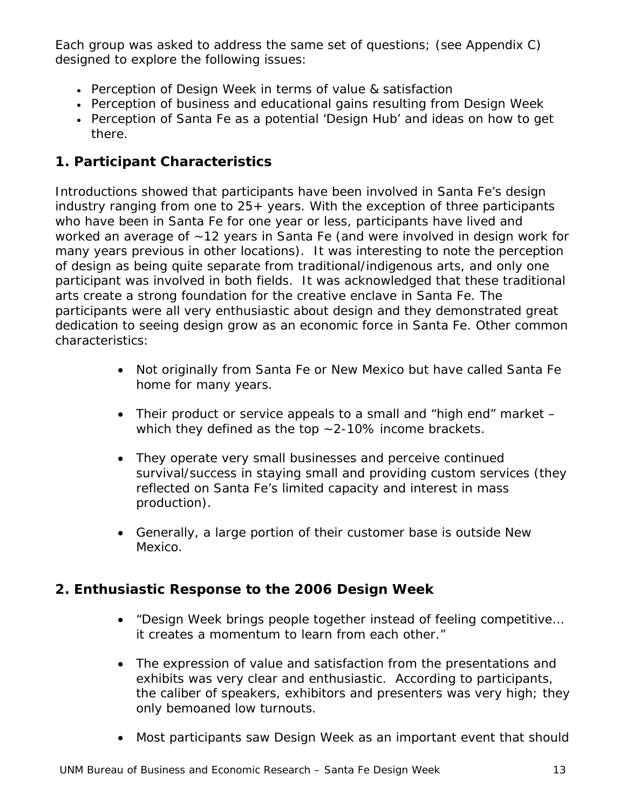Each group was asked to address the same set of questions; (see Appendix C) designed to explore the following issues:

- Perception of *Design Week* in terms of value & satisfaction
- Perception of business and educational gains resulting from *Design Week*
- Perception of Santa Fe as a potential 'Design Hub' and ideas on how to get there.

## **1. Participant Characteristics**

Introductions showed that participants have been involved in Santa Fe's design industry ranging from one to 25+ years. With the exception of three participants who have been in Santa Fe for one year or less, participants have lived and worked an average of ~12 years in Santa Fe (and were involved in design work for many years previous in other locations). It was interesting to note the perception of design as being quite separate from traditional/indigenous arts, and only one participant was involved in both fields. It was acknowledged that these traditional arts create a strong foundation for the creative enclave in Santa Fe. The participants were all very enthusiastic about design and they demonstrated great dedication to seeing design grow as an economic force in Santa Fe. Other common characteristics:

- Not originally from Santa Fe or New Mexico but have called Santa Fe home for many years.
- Their product or service appeals to a small and "high end" market which they defined as the top ~2-10% income brackets.
- They operate very small businesses and perceive continued survival/success in staying small and providing custom services (they reflected on Santa Fe's limited capacity and interest in mass production).
- Generally, a large portion of their customer base is outside New Mexico.

## **2. Enthusiastic Response to the 2006** *Design Week*

- "*Design Week brings people together instead of feeling competitive… it creates a momentum to learn from each other."*
- The expression of value and satisfaction from the presentations and exhibits was very clear and enthusiastic. According to participants, the caliber of speakers, exhibitors and presenters was very high; they only bemoaned low turnouts.
- Most participants saw *Design Week* as an important event that should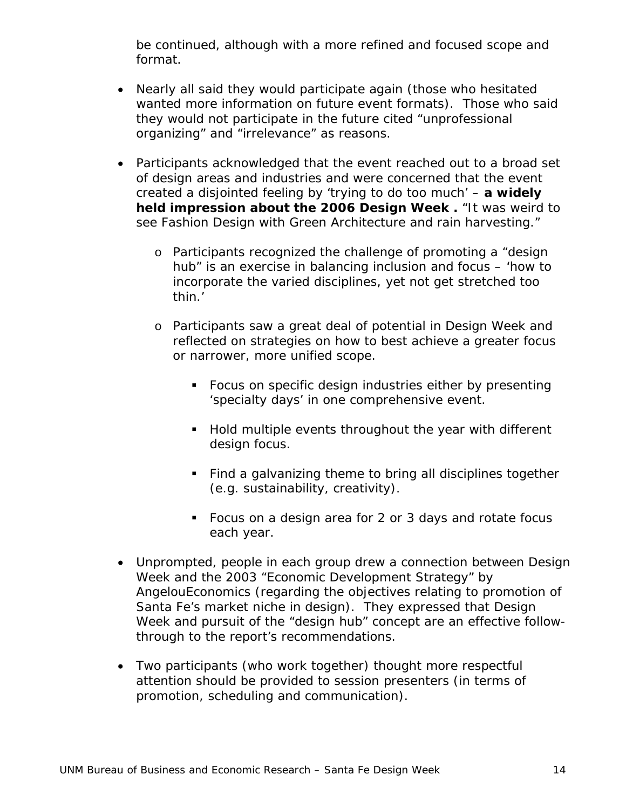be continued, although with a more refined and focused scope and format.

- Nearly all said they would participate again (those who hesitated wanted more information on future event formats). Those who said they would not participate in the future cited "unprofessional organizing" and "irrelevance" as reasons.
- Participants acknowledged that the event reached out to a broad set of design areas and industries and were concerned that the event created a disjointed feeling by 'trying to do too much' – **a widely held impression about the 2006** *Design Week* **.** "It was weird to see Fashion Design with Green Architecture and rain harvesting."
	- o Participants recognized the challenge of promoting a "design hub" is an exercise in balancing inclusion and focus – *'how to incorporate the varied disciplines, yet not get stretched too thin.'*
	- o Participants saw a great deal of potential in *Design Week* and reflected on strategies on how to best achieve a greater focus or narrower, more unified scope.
		- Focus on specific design industries either by presenting 'specialty days' in one comprehensive event.
		- Hold multiple events throughout the year with different design focus.
		- Find a galvanizing theme to bring all disciplines together (e.g. sustainability, creativity).
		- Focus on a design area for 2 or 3 days and rotate focus each year.
- Unprompted, people in each group drew a connection between *Design Week* and the 2003 "*Economic Development Strategy"* by *AngelouEconomics* (regarding the objectives relating to promotion of Santa Fe's market niche in design). They expressed that Design Week and pursuit of the "design hub" concept are an effective followthrough to the report's recommendations.
- Two participants (who work together) thought more respectful attention should be provided to session presenters (in terms of promotion, scheduling and communication).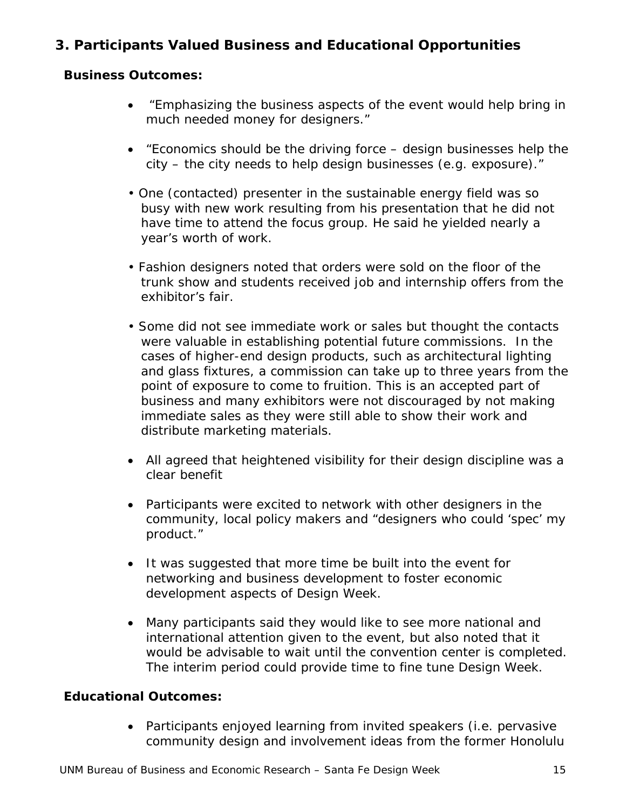## **3. Participants Valued Business and Educational Opportunities**

#### **Business Outcomes:**

- "*Emphasizing the business aspects of the event would help bring in much needed money for designers."*
- "*Economics should be the driving force design businesses help the city – the city needs to help design businesses (e.g. exposure)."*
- One (contacted) presenter in the sustainable energy field was so busy with new work resulting from his presentation that he did not have time to attend the focus group. He said he yielded nearly a year's worth of work.
- Fashion designers noted that orders were sold on the floor of the trunk show and students received job and internship offers from the exhibitor's fair.
- Some did not see immediate work or sales but thought the contacts were valuable in establishing potential future commissions. In the cases of higher-end design products, such as architectural lighting and glass fixtures, a commission can take up to three years from the point of exposure to come to fruition. This is an accepted part of business and many exhibitors were not discouraged by not making immediate sales as they were still able to show their work and distribute marketing materials.
- All agreed that heightened visibility for their design discipline was a clear benefit
- Participants were excited to network with other designers in the community, local policy makers and *"designers who could 'spec' my product."*
- It was suggested that more time be built into the event for networking and business development to foster economic development aspects of *Design Week.*
- Many participants said they would like to see more national and international attention given to the event, but also noted that it would be advisable to wait until the convention center is completed. The interim period could provide time to fine tune *Design Week*.

#### **Educational Outcomes:**

• Participants enjoyed learning from invited speakers (i.e. pervasive community design and involvement ideas from the former Honolulu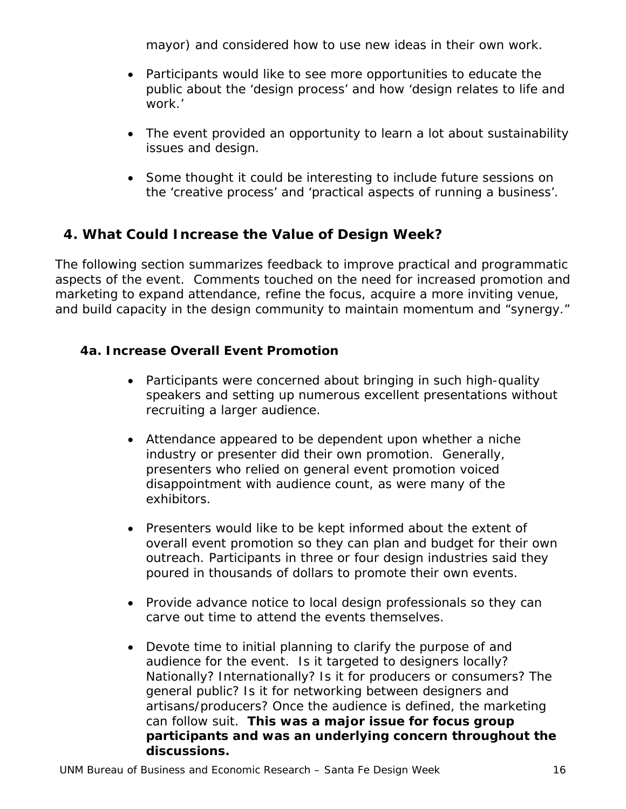mayor) and considered how to use new ideas in their own work.

- Participants would like to see more opportunities to educate the public about the 'design process' and how 'design relates to life and work.'
- The event provided an opportunity to learn a lot about sustainability issues and design.
- Some thought it could be interesting to include future sessions on the 'creative process' and 'practical aspects of running a business'.

## **4. What Could Increase the Value of** *Design Week***?**

The following section summarizes feedback to improve practical and programmatic aspects of the event. Comments touched on the need for increased promotion and marketing to expand attendance, refine the focus, acquire a more inviting venue, and build capacity in the design community to maintain momentum and "synergy."

#### *4a. Increase Overall Event Promotion*

- Participants were concerned about bringing in such high-quality speakers and setting up numerous excellent presentations without recruiting a larger audience.
- Attendance appeared to be dependent upon whether a niche industry or presenter did their own promotion. Generally, presenters who relied on general event promotion voiced disappointment with audience count, as were many of the exhibitors.
- Presenters would like to be kept informed about the extent of overall event promotion so they can plan and budget for their own outreach. Participants in three or four design industries said they poured in thousands of dollars to promote their own events.
- Provide advance notice to local design professionals so they can carve out time to attend the events themselves.
- Devote time to initial planning to clarify the purpose of and audience for the event. Is it targeted to designers locally? Nationally? Internationally? Is it for producers or consumers? The general public? Is it for networking between designers and artisans/producers? Once the audience is defined, the marketing can follow suit. **This was a major issue for focus group participants and was an underlying concern throughout the discussions.**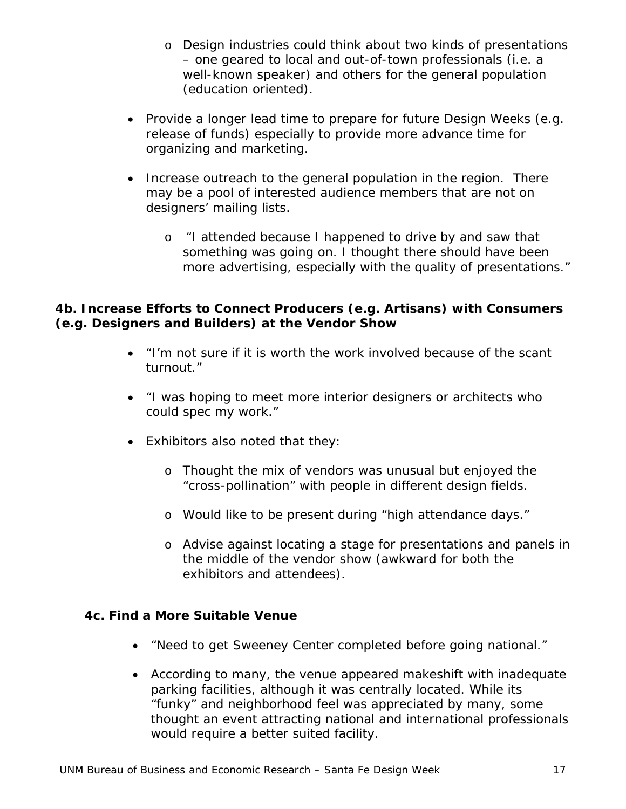- o Design industries could think about two kinds of presentations – one geared to local and out-of-town professionals (i.e. a well-known speaker) and others for the general population (education oriented).
- Provide a longer lead time to prepare for future Design Weeks (e.g. release of funds) especially to provide more advance time for organizing and marketing.
- Increase outreach to the general population in the region. There may be a pool of interested audience members that are not on designers' mailing lists.
	- o "*I attended because I happened to drive by and saw that something was going on. I thought there should have been more advertising, especially with the quality of presentations."*

#### *4b. Increase Efforts to Connect Producers (e.g. Artisans) with Consumers (e.g. Designers and Builders) at the Vendor Show*

- "*I'm not sure if it is worth the work involved because of the scant turnout."*
- "*I was hoping to meet more interior designers or architects who could spec my work."*
- Exhibitors also noted that they:
	- o Thought the mix of vendors was unusual but enjoyed the "cross-pollination" with people in different design fields.
	- o Would like to be present during "high attendance days."
	- o Advise against locating a stage for presentations and panels in the middle of the vendor show (awkward for both the exhibitors and attendees).

#### *4c. Find a More Suitable Venue*

- "*Need to get Sweeney Center completed before going national."*
- According to many, the venue appeared makeshift with inadequate parking facilities, although it was centrally located. While its "funky" and neighborhood feel was appreciated by many, some thought an event attracting national and international professionals would require a better suited facility.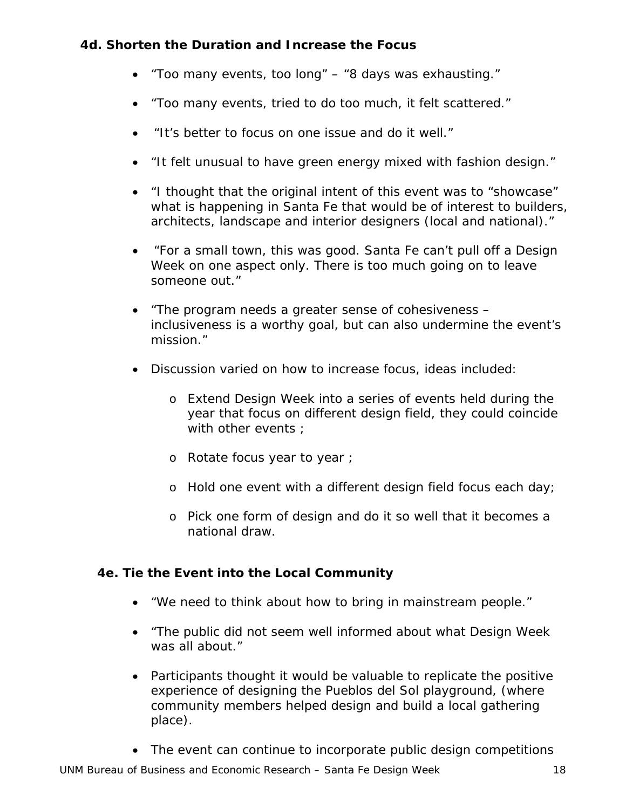#### *4d. Shorten the Duration and Increase the Focus*

- *"Too many events, too long"*  "*8 days was exhausting."*
- "*Too many events, tried to do too much, it felt scattered."*
- "*It's better to focus on one issue and do it well."*
- "*It felt unusual to have green energy mixed with fashion design."*
- "*I thought that the original intent of this event was to "showcase" what is happening in Santa Fe that would be of interest to builders, architects, landscape and interior designers (local and national)."*
- "*For a small town, this was good. Santa Fe can't pull off a Design Week on one aspect only. There is too much going on to leave someone out."*
- *"The program needs a greater sense of cohesiveness inclusiveness is a worthy goal, but can also undermine the event's mission."*
- Discussion varied on how to increase focus, ideas included:
	- o Extend *Design Week* into a series of events held during the year that focus on different design field, they could coincide with other events :
	- o Rotate focus year to year ;
	- o Hold one event with a different design field focus each day;
	- o Pick one form of design and do it so well that it becomes a national draw.

#### *4e. Tie the Event into the Local Community*

- "We n*eed to think about how to bring in mainstream people."*
- *"The public did not seem well informed about what Design Week was all about."*
- Participants thought it would be valuable to replicate the positive experience of designing the *Pueblos del Sol playground*, (where community members helped design and build a local gathering place).
- The event can continue to incorporate public design competitions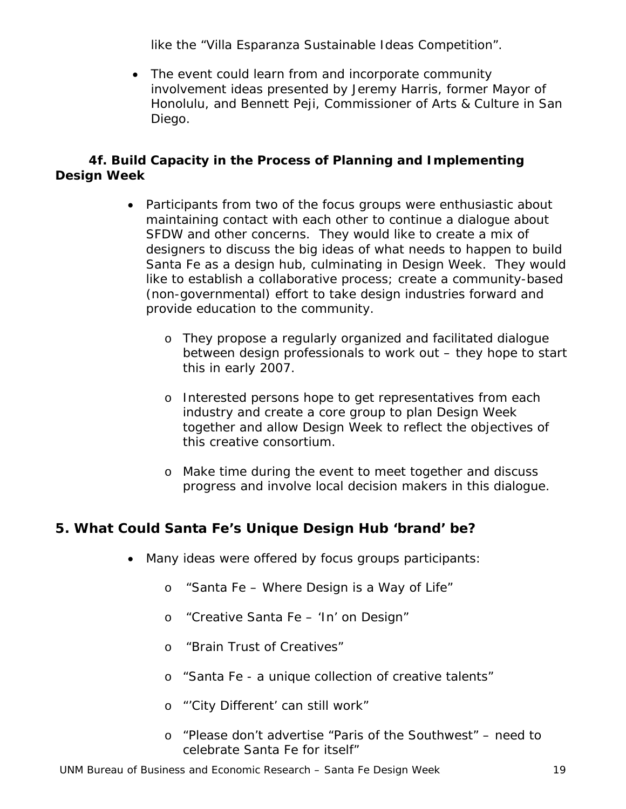like the "*Villa Esparanza Sustainable Ideas Competition".*

• The event could learn from and incorporate community involvement ideas presented by Jeremy Harris, former Mayor of Honolulu, and Bennett Peji, Commissioner of Arts & Culture in San Diego.

#### *4f. Build Capacity in the Process of Planning and Implementing Design Week*

- Participants from two of the focus groups were enthusiastic about maintaining contact with each other to continue a dialogue about SFDW and other concerns. They would like to create a mix of designers to discuss the big ideas of what needs to happen to build Santa Fe as a design hub, culminating in Design Week. They would like to establish a collaborative process; create a community-based (non-governmental) effort to take design industries forward and provide education to the community.
	- o They propose a regularly organized and facilitated dialogue between design professionals to work out – they hope to start this in early 2007.
	- o Interested persons hope to get representatives from each industry and create a core group to plan *Design Week* together and allow *Design Week* to reflect the objectives of this creative consortium.
	- o Make time during the event to meet together and discuss progress and involve local decision makers in this dialogue.

## **5. What Could Santa Fe's Unique Design Hub 'brand' be?**

- Many ideas were offered by focus groups participants:
	- o "*Santa Fe Where Design is a Way of Life"*
	- o "*Creative Santa Fe 'In' on Design"*
	- o "*Brain Trust of Creatives*"
	- o "*Santa Fe a unique collection of creative talents"*
	- o "'*City Different' can still work"*
	- o "*Please don't advertise "Paris of the Southwest" need to celebrate Santa Fe for itself"*

UNM Bureau of Business and Economic Research – Santa Fe Design Week 19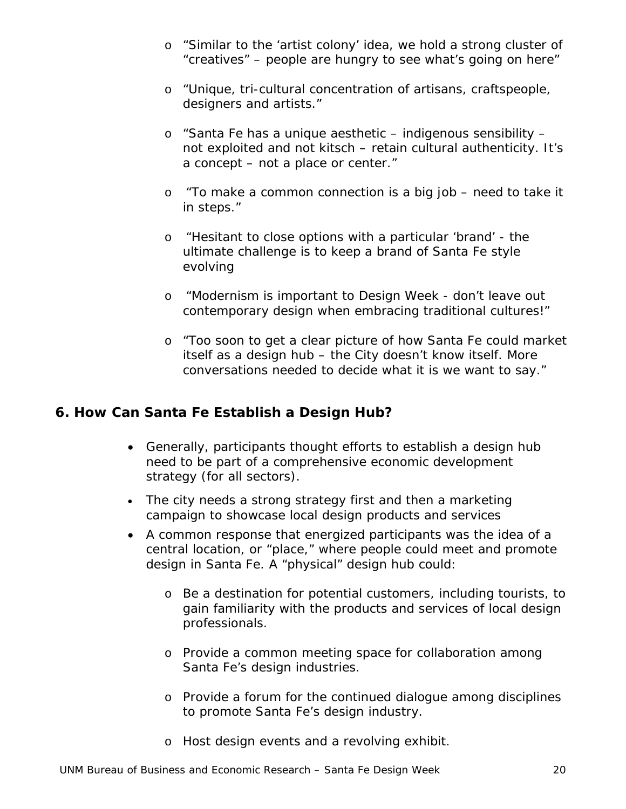- o "*Similar to the 'artist colony' idea, we hold a strong cluster of "creatives" – people are hungry to see what's going on here"*
- o "*Unique, tri-cultural concentration of artisans, craftspeople, designers and artists."*
- o "*Santa Fe has a unique aesthetic indigenous sensibility not exploited and not kitsch – retain cultural authenticity. It's a concept – not a place or center."*
- o "*To make a common connection is a big job need to take it in steps."*
- o "*Hesitant to close options with a particular 'brand' the ultimate challenge is to keep a brand of Santa Fe style evolving*
- o "*Modernism is important to Design Week don't leave out contemporary design when embracing traditional cultures!"*
- o "*Too soon to get a clear picture of how Santa Fe could market itself as a design hub – the City doesn't know itself. More conversations needed to decide what it is we want to say."*

### **6. How Can Santa Fe Establish a Design Hub?**

- Generally, participants thought efforts to establish a design hub need to be part of a comprehensive economic development strategy (for all sectors).
- The city needs a strong strategy first and then a marketing campaign to showcase local design products and services
- A common response that energized participants was the idea of a central location, or "place," where people could meet and promote design in Santa Fe. A "physical" design hub could:
	- o Be a destination for potential customers, including tourists, to gain familiarity with the products and services of local design professionals.
	- o Provide a common meeting space for collaboration among Santa Fe's design industries.
	- o Provide a forum for the continued dialogue among disciplines to promote Santa Fe's design industry.
	- o Host design events and a revolving exhibit.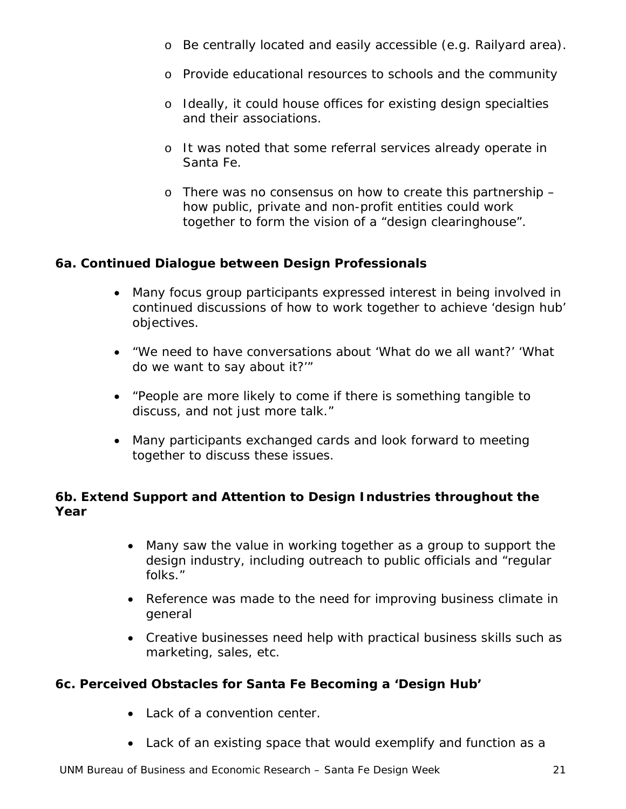- o Be centrally located and easily accessible (e.g. Railyard area).
- o Provide educational resources to schools and the community
- o Ideally, it could house offices for existing design specialties and their associations.
- o It was noted that some referral services already operate in Santa Fe.
- o There was no consensus on how to create this partnership how public, private and non-profit entities could work together to form the vision of a "design clearinghouse".

#### *6a. Continued Dialogue between Design Professionals*

- Many focus group participants expressed interest in being involved in continued discussions of how to work together to achieve 'design hub' objectives.
- "*We need to have conversations about 'What do we all want?' 'What do we want to say about it?'"*
- "P*eople are more likely to come if there is something tangible to discuss, and not just more talk."*
- Many participants exchanged cards and look forward to meeting together to discuss these issues.

#### *6b. Extend Support and Attention to Design Industries throughout the Year*

- Many saw the value in working together as a group to support the design industry, including outreach to public officials and "regular folks."
- Reference was made to the need for improving business climate in general
- Creative businesses need help with practical business skills such as marketing, sales, etc.

#### *6c. Perceived Obstacles for Santa Fe Becoming a 'Design Hub'*

- Lack of a convention center.
- Lack of an existing space that would exemplify and function as a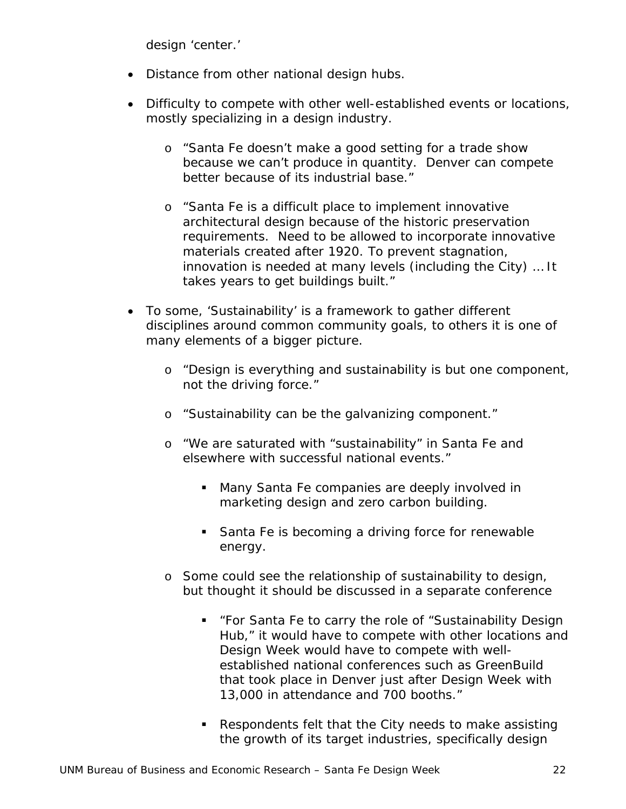design 'center.'

- Distance from other national design hubs.
- Difficulty to compete with other well-established events or locations, mostly specializing in a design industry.
	- o "*Santa Fe doesn't make a good setting for a trade show because we can't produce in quantity. Denver can compete better because of its industrial base."*
	- o "*Santa Fe is a difficult place to implement innovative architectural design because of the historic preservation requirements. Need to be allowed to incorporate innovative materials created after 1920. To prevent stagnation, innovation is needed at many levels (including the City) … It takes years to get buildings built."*
- To some, 'Sustainability' is a framework to gather different disciplines around common community goals, to others it is one of many elements of a bigger picture.
	- o "*Design is everything and sustainability is but one component, not the driving force."*
	- o "*Sustainability can be the galvanizing component."*
	- o "*We are saturated with "sustainability" in Santa Fe and elsewhere with successful national events."*
		- **Many Santa Fe companies are deeply involved in** marketing design and zero carbon building.
		- **Santa Fe is becoming a driving force for renewable** energy.
	- o Some could see the relationship of sustainability to design, but thought it should be discussed in a separate conference
		- "*For Santa Fe to carry the role of "Sustainability Design Hub," it would have to compete with other locations and Design Week would have to compete with wellestablished national conferences such as GreenBuild that took place in Denver just after Design Week with 13,000 in attendance and 700 booths."*
		- Respondents felt that the City needs to make assisting the growth of its target industries, specifically design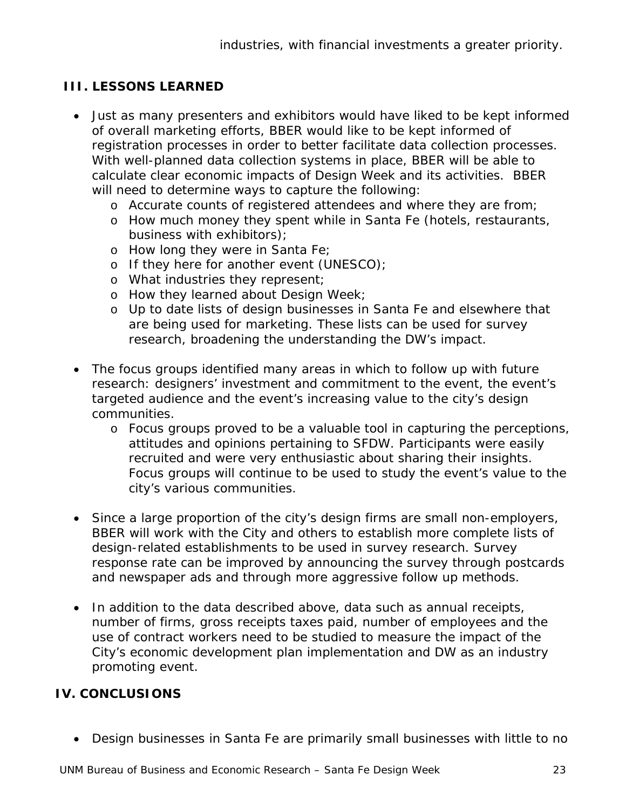### **III. LESSONS LEARNED**

- Just as many presenters and exhibitors would have liked to be kept informed of overall marketing efforts, BBER would like to be kept informed of registration processes in order to better facilitate data collection processes. With well-planned data collection systems in place, BBER will be able to calculate clear economic impacts of Design Week and its activities. BBER will need to determine ways to capture the following:
	- o Accurate counts of registered attendees and where they are from;
	- o How much money they spent while in Santa Fe (hotels, restaurants, business with exhibitors);
	- o How long they were in Santa Fe;
	- o If they here for another event (UNESCO);
	- o What industries they represent;
	- o How they learned about Design Week;
	- o Up to date lists of design businesses in Santa Fe and elsewhere that are being used for marketing. These lists can be used for survey research, broadening the understanding the DW's impact.
- The focus groups identified many areas in which to follow up with future research: designers' investment and commitment to the event, the event's targeted audience and the event's increasing value to the city's design communities.
	- o Focus groups proved to be a valuable tool in capturing the perceptions, attitudes and opinions pertaining to SFDW. Participants were easily recruited and were very enthusiastic about sharing their insights. Focus groups will continue to be used to study the event's value to the city's various communities.
- Since a large proportion of the city's design firms are small non-employers, BBER will work with the City and others to establish more complete lists of design-related establishments to be used in survey research. Survey response rate can be improved by announcing the survey through postcards and newspaper ads and through more aggressive follow up methods.
- In addition to the data described above, data such as annual receipts, number of firms, gross receipts taxes paid, number of employees and the use of contract workers need to be studied to measure the impact of the City's economic development plan implementation and DW as an industry promoting event.

#### **IV. CONCLUSIONS**

• Design businesses in Santa Fe are primarily small businesses with little to no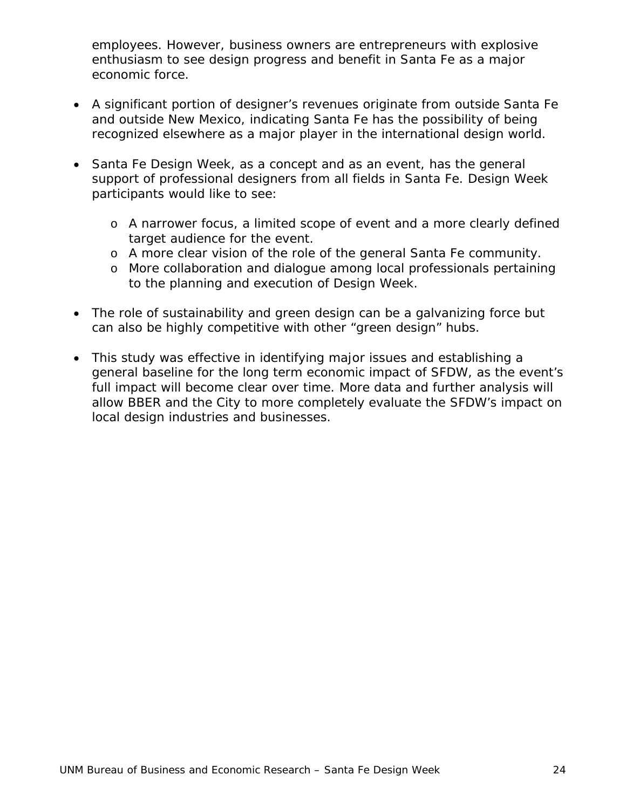employees. However, business owners are entrepreneurs with explosive enthusiasm to see design progress and benefit in Santa Fe as a major economic force.

- A significant portion of designer's revenues originate from outside Santa Fe and outside New Mexico, indicating Santa Fe has the possibility of being recognized elsewhere as a major player in the international design world.
- Santa Fe Design Week, as a concept and as an event, has the general support of professional designers from all fields in Santa Fe. Design Week participants would like to see:
	- o A narrower focus, a limited scope of event and a more clearly defined target audience for the event.
	- o A more clear vision of the role of the general Santa Fe community.
	- o More collaboration and dialogue among local professionals pertaining to the planning and execution of Design Week.
- The role of sustainability and green design can be a galvanizing force but can also be highly competitive with other "green design" hubs.
- This study was effective in identifying major issues and establishing a general baseline for the long term economic impact of SFDW, as the event's full impact will become clear over time. More data and further analysis will allow BBER and the City to more completely evaluate the SFDW's impact on local design industries and businesses.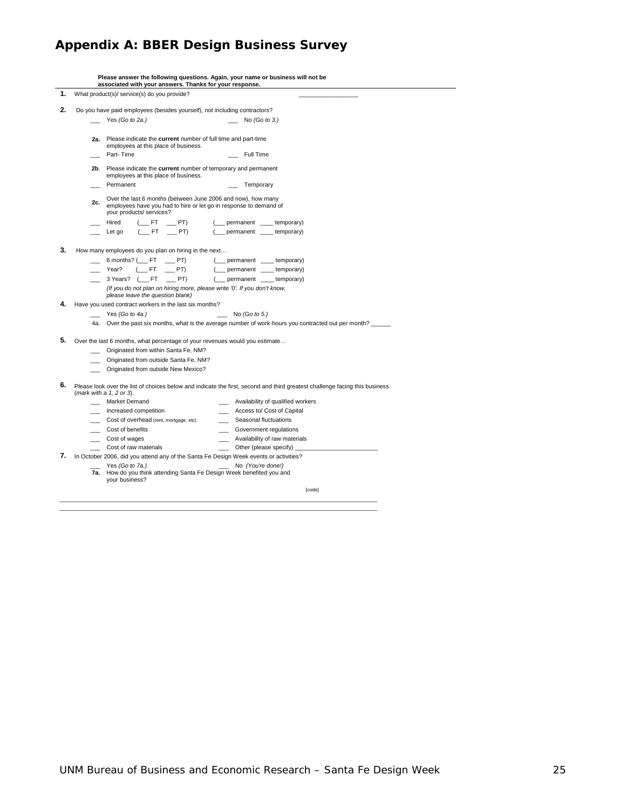## **Appendix A: BBER Design Business Survey**

|    |                               | associated with your answers. Thanks for your response.                                                                                                       | Please answer the following questions. Again, your name or business will not be                                             |
|----|-------------------------------|---------------------------------------------------------------------------------------------------------------------------------------------------------------|-----------------------------------------------------------------------------------------------------------------------------|
| 1. |                               | What product(s)/ service(s) do you provide?                                                                                                                   |                                                                                                                             |
| 2. |                               | Do you have paid employees (besides yourself), not including contractors?                                                                                     |                                                                                                                             |
|    |                               | Yes (Go to 2a.)                                                                                                                                               | No $(Got 0 3.)$                                                                                                             |
|    |                               |                                                                                                                                                               |                                                                                                                             |
|    | 2a.                           | Please indicate the current number of full time and part-time                                                                                                 |                                                                                                                             |
|    |                               | employees at this place of business.                                                                                                                          |                                                                                                                             |
|    | Part-Time                     |                                                                                                                                                               | Full Time                                                                                                                   |
|    | 2b.                           | Please indicate the current number of temporary and permanent<br>employees at this place of business.                                                         |                                                                                                                             |
|    |                               | Permanent                                                                                                                                                     | Temporary                                                                                                                   |
|    |                               |                                                                                                                                                               |                                                                                                                             |
|    | 2c.                           | Over the last 6 months (between June 2006 and now), how many<br>employees have you had to hire or let go in response to demand of<br>your products/ services? |                                                                                                                             |
|    | Hired                         | $($ FT $=$ PT)                                                                                                                                                | ( permanent ____ temporary)                                                                                                 |
|    | Let go                        | $(FT$ PT)                                                                                                                                                     | (__ permanent __ temporary)                                                                                                 |
|    |                               |                                                                                                                                                               |                                                                                                                             |
| 3. |                               | How many employees do you plan on hiring in the next                                                                                                          |                                                                                                                             |
|    |                               | $6$ months? ( $\_\$ FT $\_\_\$ PT)                                                                                                                            | ( __ permanent _ temporary)                                                                                                 |
|    | Year?                         | $($ FT<br>PT)                                                                                                                                                 | ( __ permanent _ _ temporary)                                                                                               |
|    |                               | 3 Years? (FT _PT)                                                                                                                                             | ( __ permanent __ temporary)                                                                                                |
|    |                               | (If you do not plan on hiring more, please write '0'. If you don't know,<br>please leave the question blank)                                                  |                                                                                                                             |
| 4. |                               | Have you used contract workers in the last six months?                                                                                                        |                                                                                                                             |
|    |                               | Yes $(Go to 4a.)$                                                                                                                                             | No $(Got 65)$                                                                                                               |
|    |                               |                                                                                                                                                               | 4a. Over the past six months, what is the average number of work-hours you contracted out per month?                        |
| 5. |                               | Over the last 6 months, what percentage of your revenues would you estimate                                                                                   |                                                                                                                             |
|    |                               | Originated from within Santa Fe, NM?                                                                                                                          |                                                                                                                             |
|    |                               | Originated from outside Santa Fe, NM?                                                                                                                         |                                                                                                                             |
|    |                               | Originated from outside New Mexico?                                                                                                                           |                                                                                                                             |
|    |                               |                                                                                                                                                               |                                                                                                                             |
| 6. | (mark with a $1, 2$ or $3$ ). |                                                                                                                                                               | Please look over the list of choices below and indicate the first, second and third greatest challenge facing this business |
|    |                               | <b>Market Demand</b>                                                                                                                                          | _ Availability of qualified workers                                                                                         |
|    |                               | Increased competition                                                                                                                                         | __ Access to/ Cost of Capital                                                                                               |
|    |                               | Cost of overhead (rent, mortgage, etc)                                                                                                                        | Seasonal fluctuations                                                                                                       |
|    |                               | Cost of benefits                                                                                                                                              | Government regulations                                                                                                      |
|    | __ Cost of wages              |                                                                                                                                                               | Availability of raw materials                                                                                               |
|    |                               | Cost of raw materials                                                                                                                                         | Other (please specify)                                                                                                      |
| 7. |                               |                                                                                                                                                               | In October 2006, did you attend any of the Santa Fe Design Week events or activities?                                       |
|    |                               | Yes (Go to 7a.)<br>7a. How do you think attending Santa Fe Design Week benefited you and<br>your business?                                                    | No (You're done!)                                                                                                           |
|    |                               |                                                                                                                                                               | [code]                                                                                                                      |

\_\_\_\_\_\_\_\_\_\_\_\_\_\_\_\_\_\_\_\_\_\_\_\_\_\_\_\_\_\_\_\_\_\_\_\_\_\_\_\_\_\_\_\_\_\_\_\_\_\_\_\_\_\_\_\_\_\_\_\_\_\_\_\_\_\_\_\_\_\_\_\_\_\_\_\_\_\_\_\_\_\_\_\_\_\_\_\_\_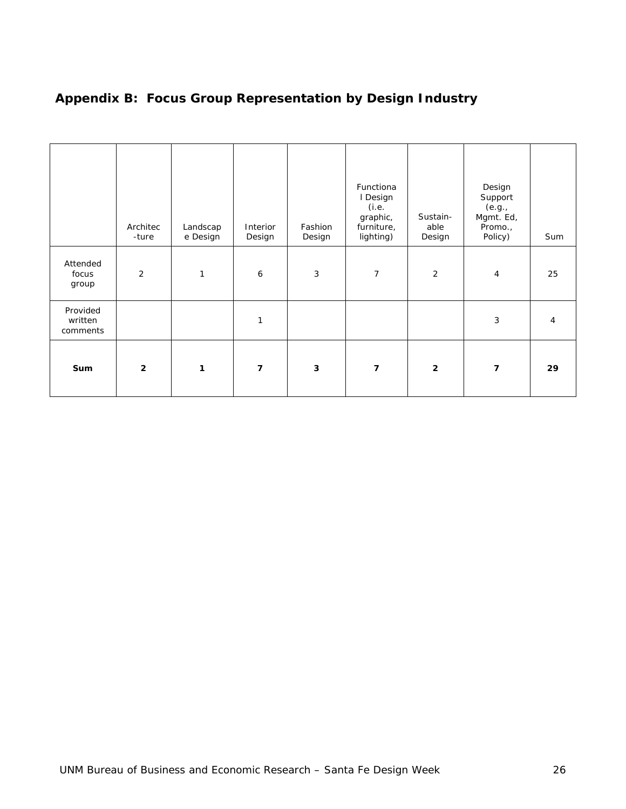|                                 | Architec<br>-ture | Landscap<br>e Design | Interior<br>Design       | Fashion<br>Design | Functiona<br>I Design<br>(i.e.<br>graphic,<br>furniture,<br>lighting) | Sustain-<br>able<br>Design | Design<br>Support<br>(e.g.,<br>Mgmt. Ed,<br>Promo.,<br>Policy) | Sum |
|---------------------------------|-------------------|----------------------|--------------------------|-------------------|-----------------------------------------------------------------------|----------------------------|----------------------------------------------------------------|-----|
| Attended<br>focus<br>group      | 2                 | 1                    | 6                        | 3                 | $\overline{7}$                                                        | 2                          | $\overline{4}$                                                 | 25  |
| Provided<br>written<br>comments |                   |                      | 1                        |                   |                                                                       |                            | 3                                                              | 4   |
| Sum                             | $\overline{2}$    | 1                    | $\overline{\phantom{a}}$ | 3                 | $\overline{7}$                                                        | $\overline{2}$             | $\overline{\mathbf{z}}$                                        | 29  |

## **Appendix B: Focus Group Representation by Design Industry**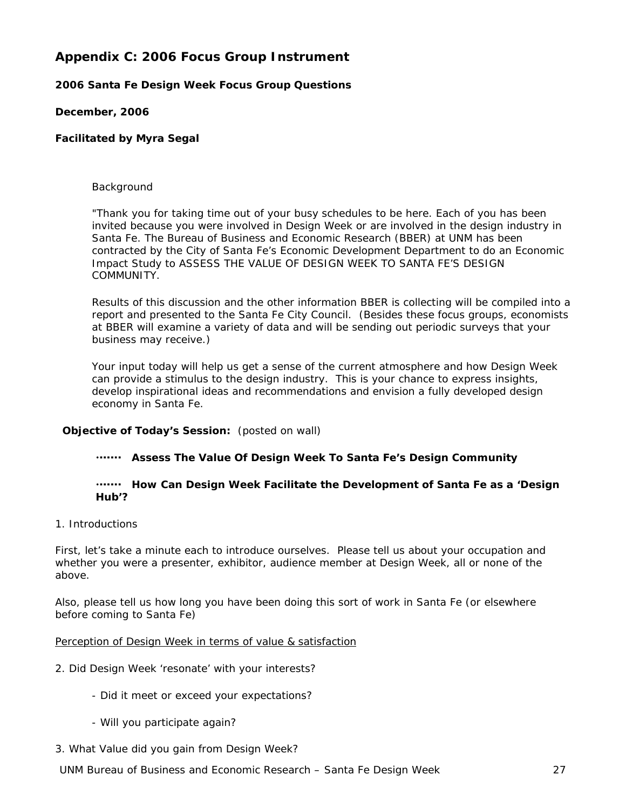#### **Appendix C: 2006 Focus Group Instrument**

#### **2006 Santa Fe** *Design Week* **Focus Group Questions**

#### **December, 2006**

#### **Facilitated by Myra Segal**

#### Background

"Thank you for taking time out of your busy schedules to be here. Each of you has been invited because you were involved in *Design Week* or are involved in the design industry in Santa Fe. The Bureau of Business and Economic Research (BBER) at UNM has been contracted by the City of Santa Fe's Economic Development Department to do an Economic Impact Study to ASSESS THE VALUE OF *DESIGN WEEK* TO SANTA FE'S DESIGN COMMUNITY.

Results of this discussion and the other information BBER is collecting will be compiled into a report and presented to the Santa Fe City Council. (Besides these focus groups, economists at BBER will examine a variety of data and will be sending out periodic surveys that your business may receive.)

Your input today will help us get a sense of the current atmosphere and how *Design Week* can provide a stimulus to the design industry. This is your chance to express insights, develop inspirational ideas and recommendations and envision a fully developed design economy in Santa Fe.

#### **Objective of Today's Session:** (posted on wall)

x **Assess The Value Of** *Design Week* **To Santa Fe's Design Community**

#### **How Can** *Design Week* **Facilitate the Development of Santa Fe as a 'Design' Hub'?**

1. Introductions

First, let's take a minute each to introduce ourselves. Please tell us about your occupation and whether you were a presenter, exhibitor, audience member at *Design Week*, all or none of the above.

Also, please tell us how long you have been doing this sort of work in Santa Fe (or elsewhere before coming to Santa Fe)

#### *Perception of Design Week in terms of value & satisfaction*

- 2. Did *Design Week* 'resonate' with your interests?
	- Did it meet or exceed your expectations?
	- Will you participate again?
- 3. What Value did you gain from *Design Week*?

UNM Bureau of Business and Economic Research – Santa Fe Design Week 27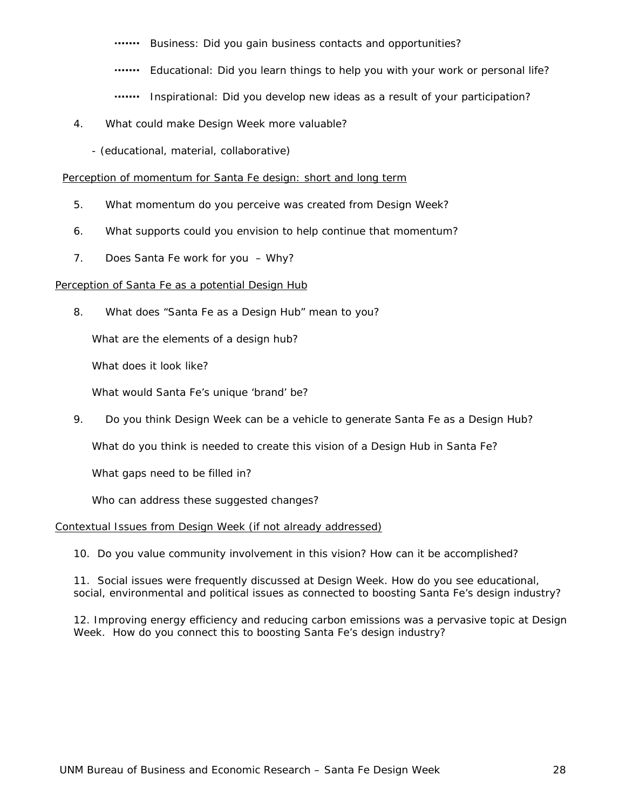www Business: Did you gain business contacts and opportunities?

- **.......** Educational: Did you learn things to help you with your work or personal life?
- **.......** Inspirational: Did you develop new ideas as a result of your participation?
- 4. What could make *Design Week* more valuable?
	- (educational, material, collaborative)

#### *Perception of momentum for Santa Fe design: short and long term*

- 5. What momentum do you perceive was created from *Design Week*?
- 6. What supports could you envision to help continue that momentum?
- 7. Does Santa Fe work for you Why?

#### *Perception of Santa Fe as a potential Design Hub*

8. What does "*Santa Fe as a Design Hub*" mean to you?

What are the elements of a design hub?

What does it look like?

What would Santa Fe's unique 'brand' be?

9. Do you think *Design Week* can be a vehicle to generate Santa Fe as a Design Hub?

What do you think is needed to create this vision of a Design Hub in Santa Fe?

What gaps need to be filled in?

Who can address these suggested changes?

#### *Contextual Issues from Design Week (if not already addressed)*

10. Do you value community involvement in this vision? How can it be accomplished?

11. Social issues were frequently discussed at *Design Week*. How do you see educational, social, environmental and political issues as connected to boosting Santa Fe's design industry?

12. Improving energy efficiency and reducing carbon emissions was a pervasive topic at *Design Week*. How do you connect this to boosting Santa Fe's design industry?